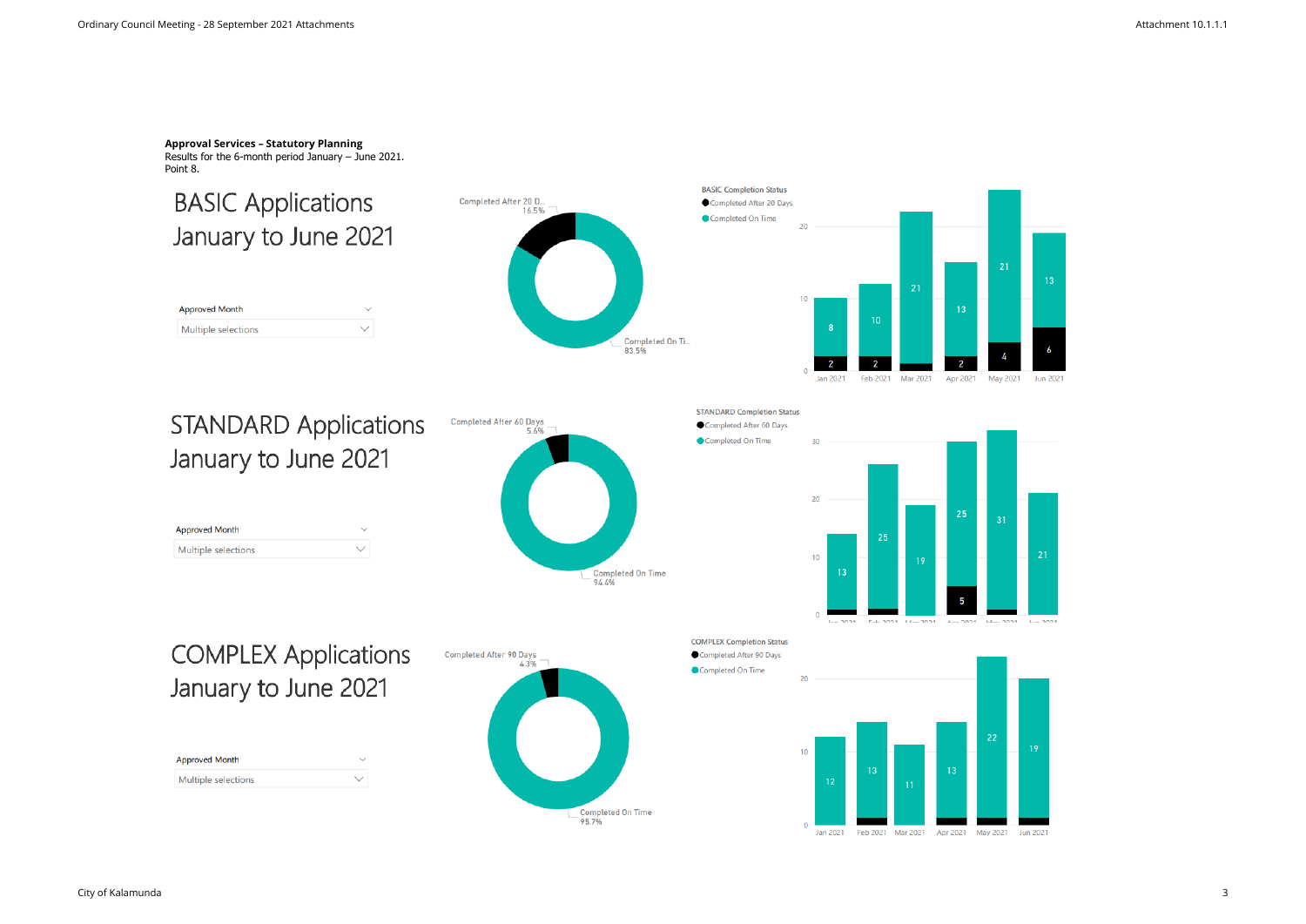**Approval Services – Statutory Planning** Results for the 6-month period January – June 2021. Point 8.

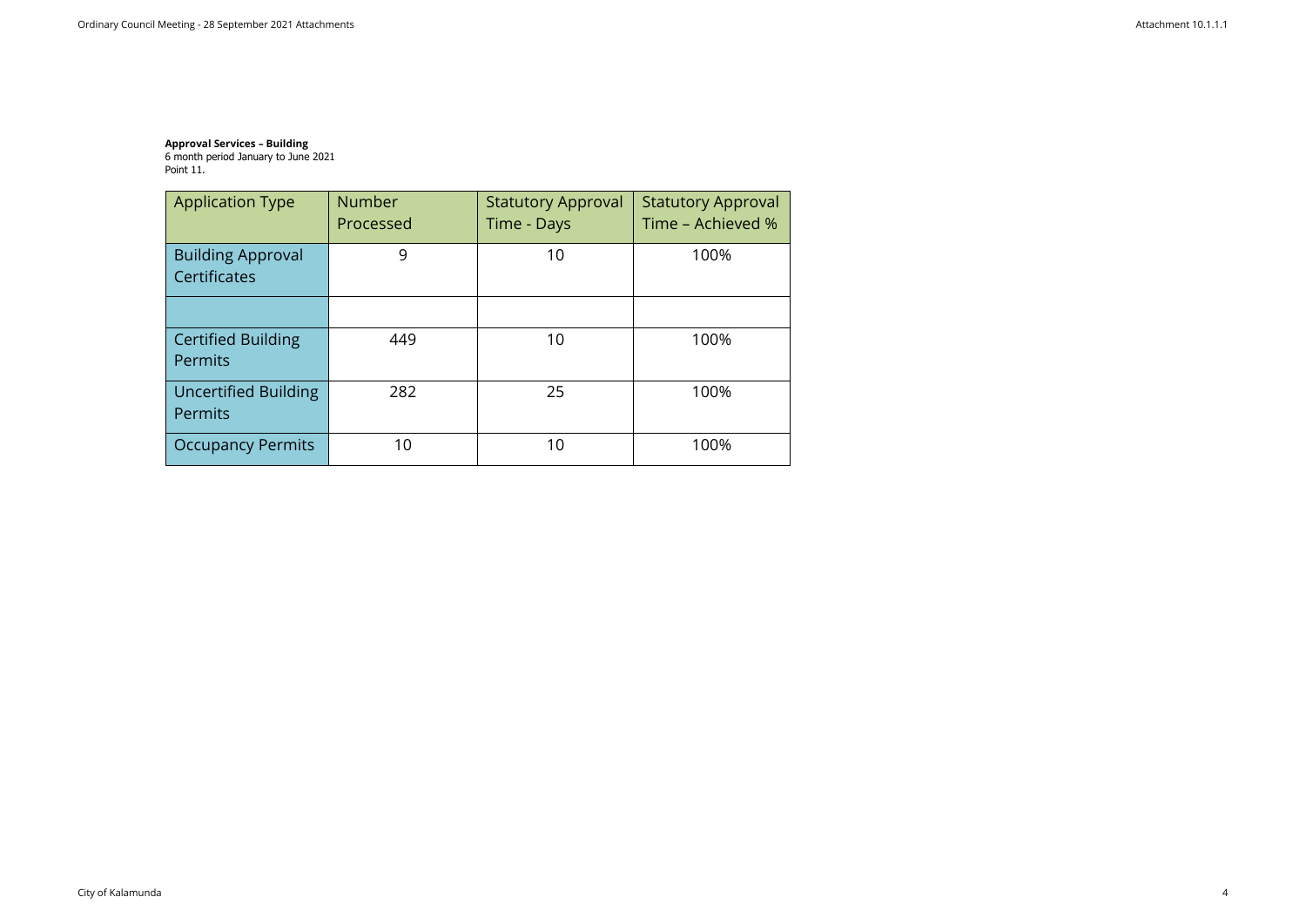# **Approval Services – Building** 6 month period January to June 2021 Point 11.

| <b>Application Type</b>                     | <b>Number</b><br>Processed | <b>Statutory Approval</b><br>Time - Days | <b>Statutory Approval</b><br>Time - Achieved % |
|---------------------------------------------|----------------------------|------------------------------------------|------------------------------------------------|
| <b>Building Approval</b><br>Certificates    | 9                          | 10                                       | 100%                                           |
|                                             |                            |                                          |                                                |
| <b>Certified Building</b><br><b>Permits</b> | 449                        | 10                                       | 100%                                           |
| Uncertified Building<br><b>Permits</b>      | 282                        | 25                                       | 100%                                           |
| <b>Occupancy Permits</b>                    | 10                         | 10                                       | 100%                                           |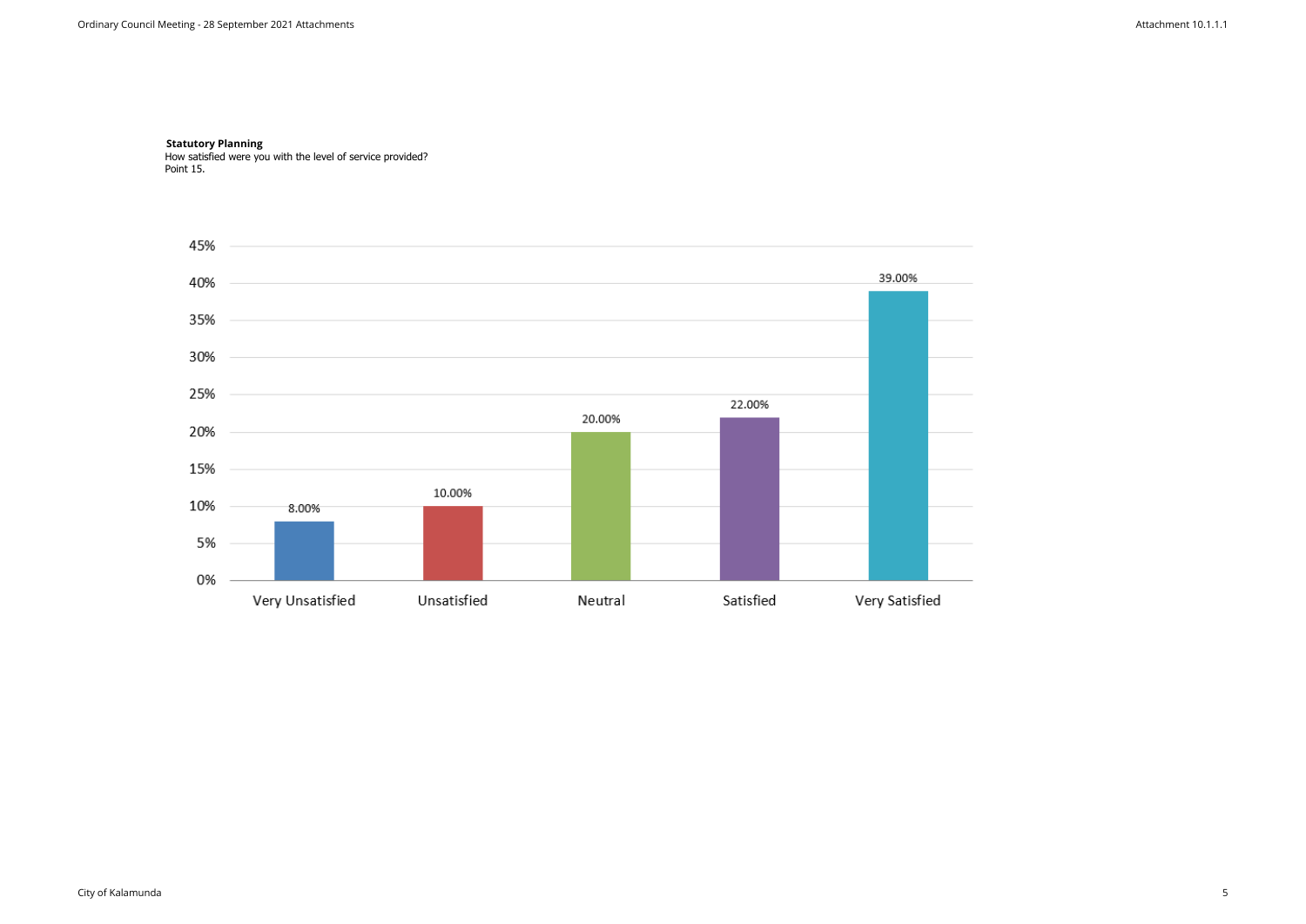### **Statutory Planning**  How satisfied were you with the level of service provided? Point 15.

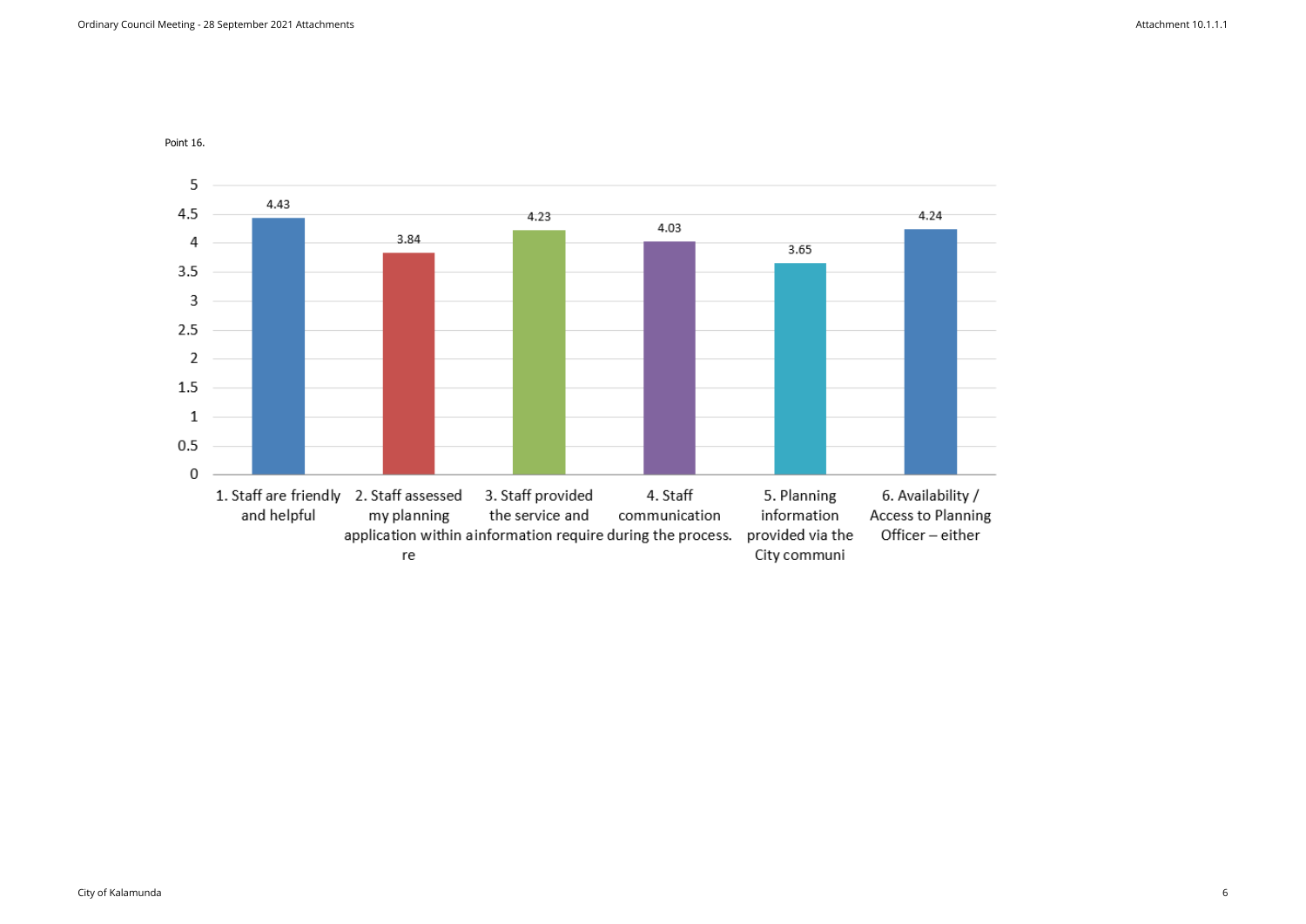Point 16.

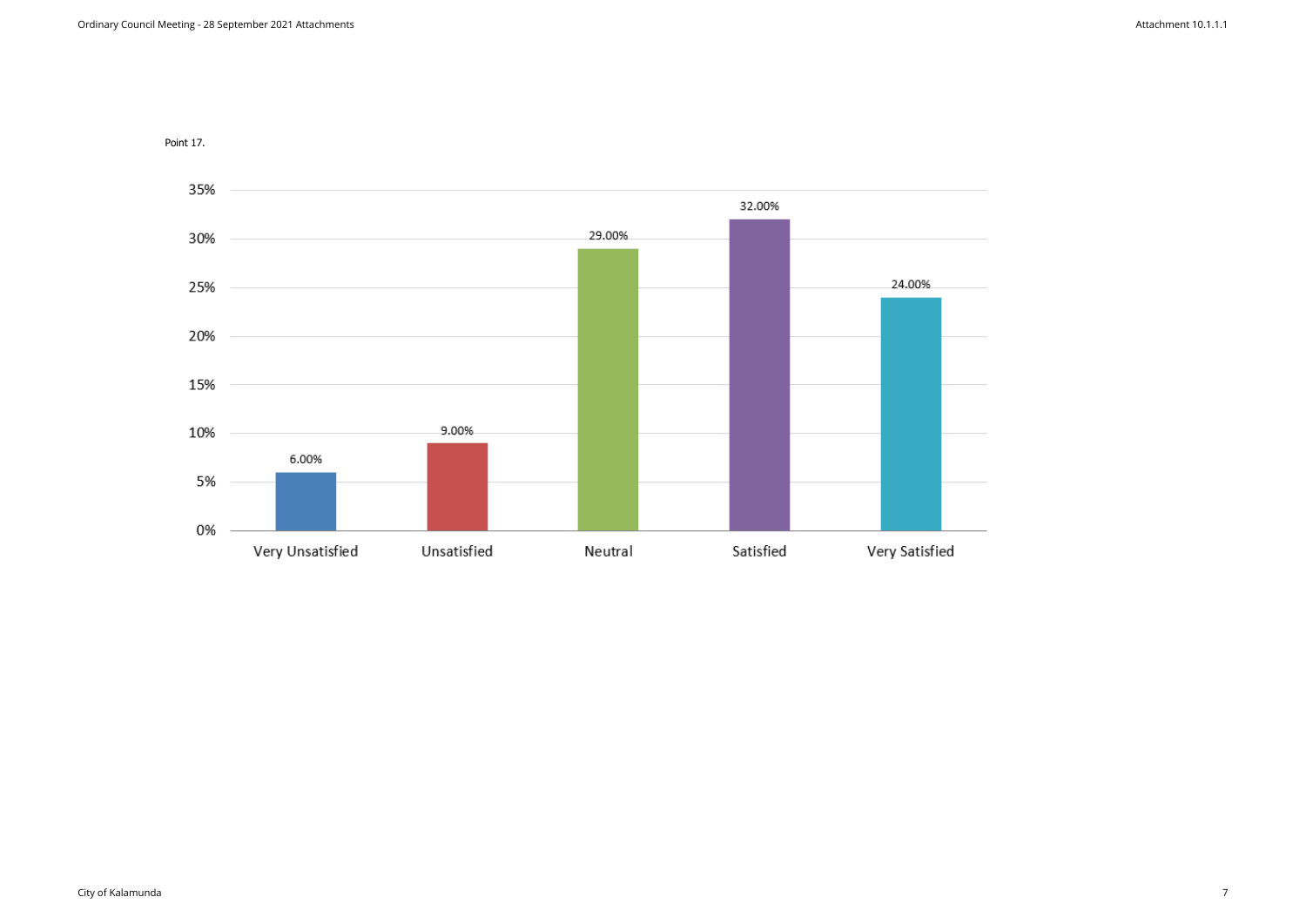

Point 17.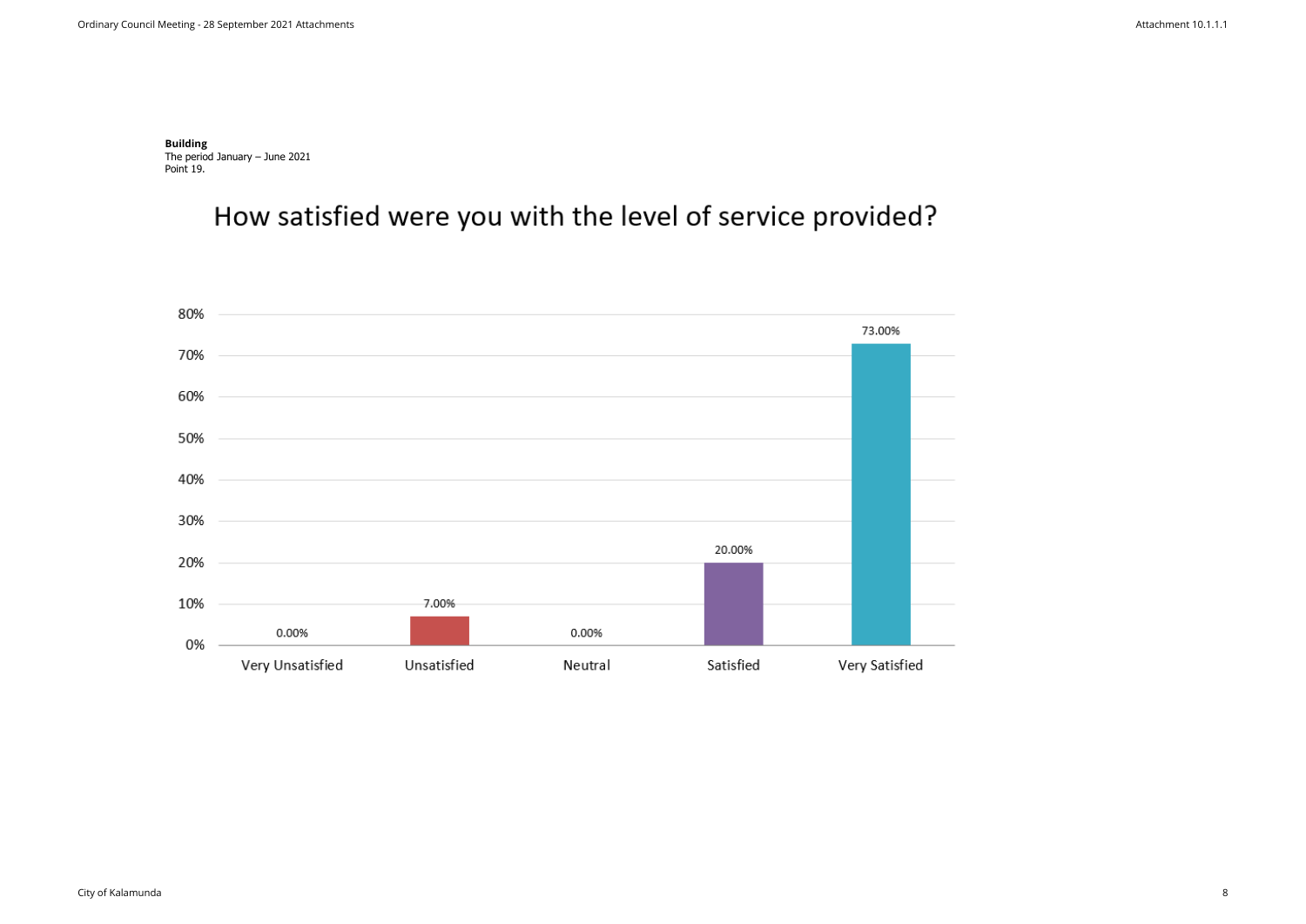**Building**  The period January – June 2021 Point 19.

How satisfied were you with the level of service provided?

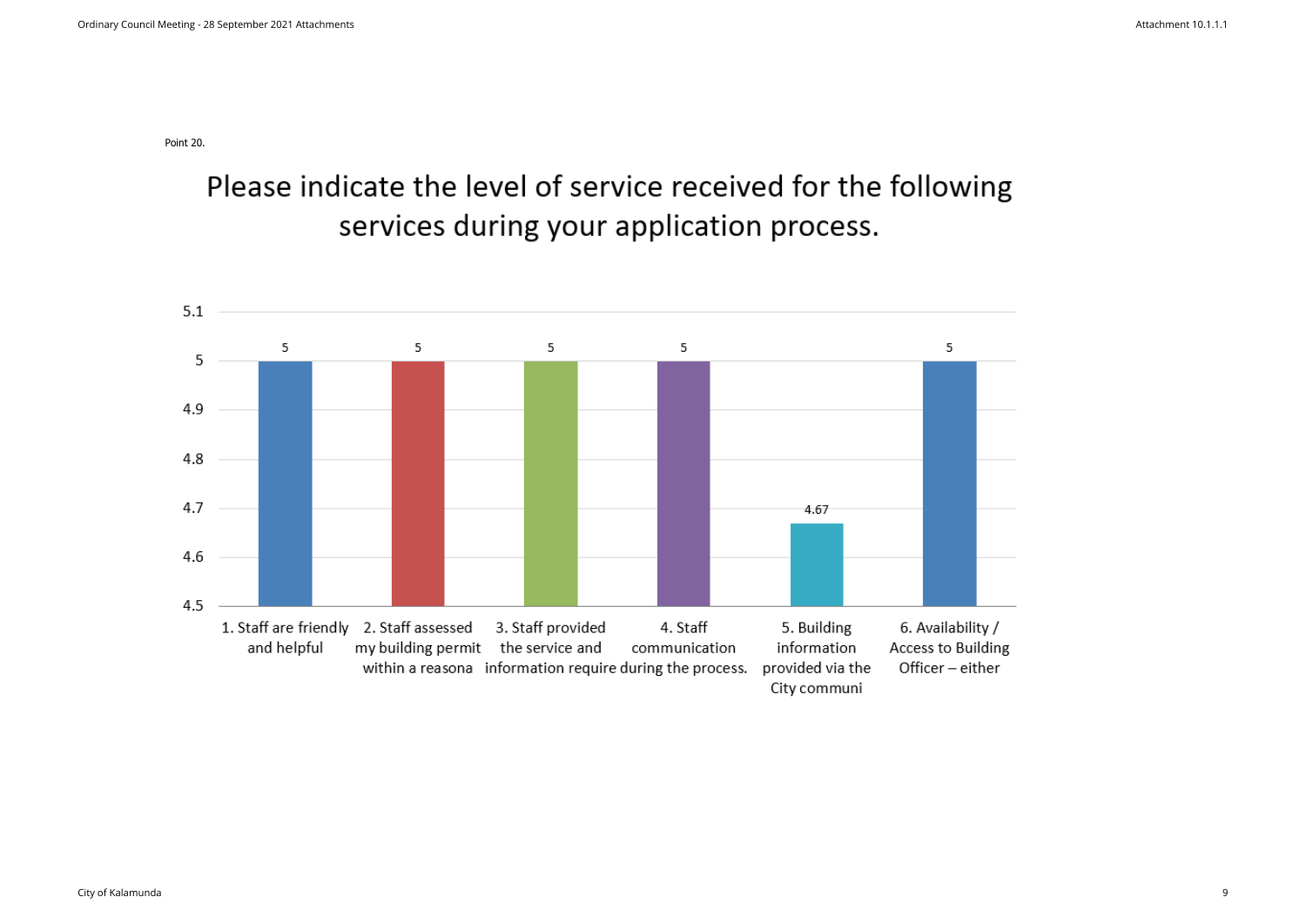Point 20.

Please indicate the level of service received for the following services during your application process.

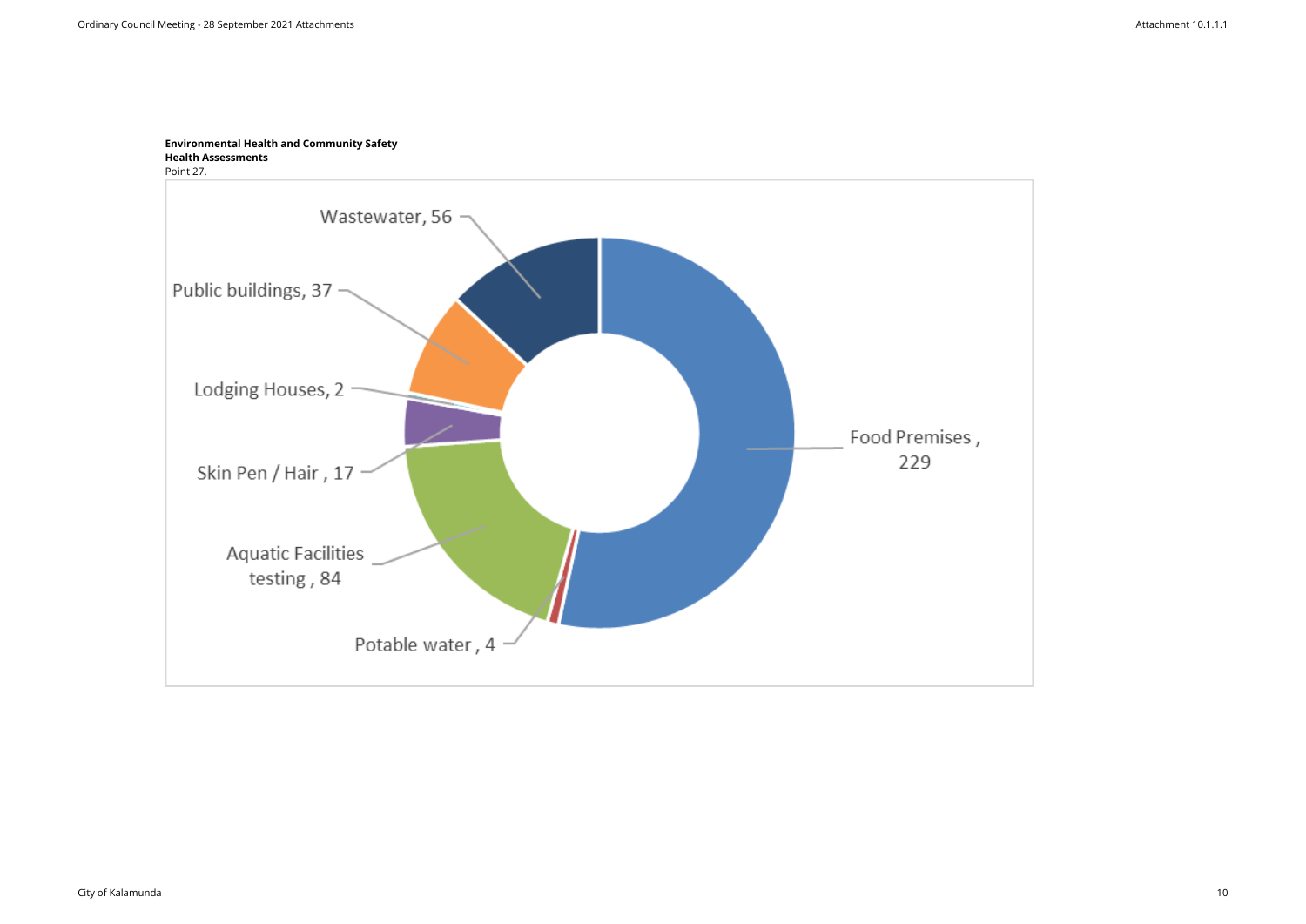# **Environmental Health and Community Safety Health Assessments**

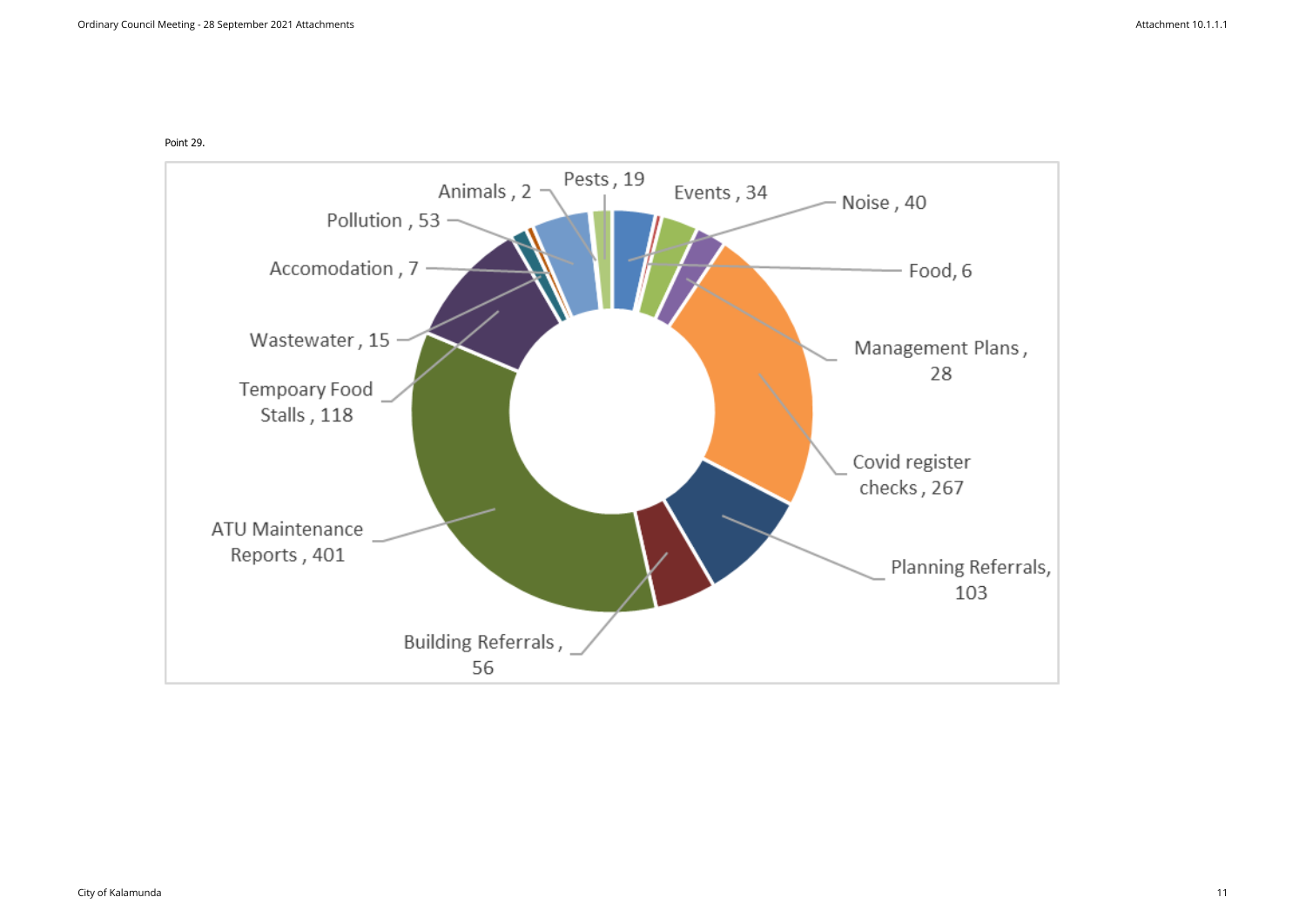

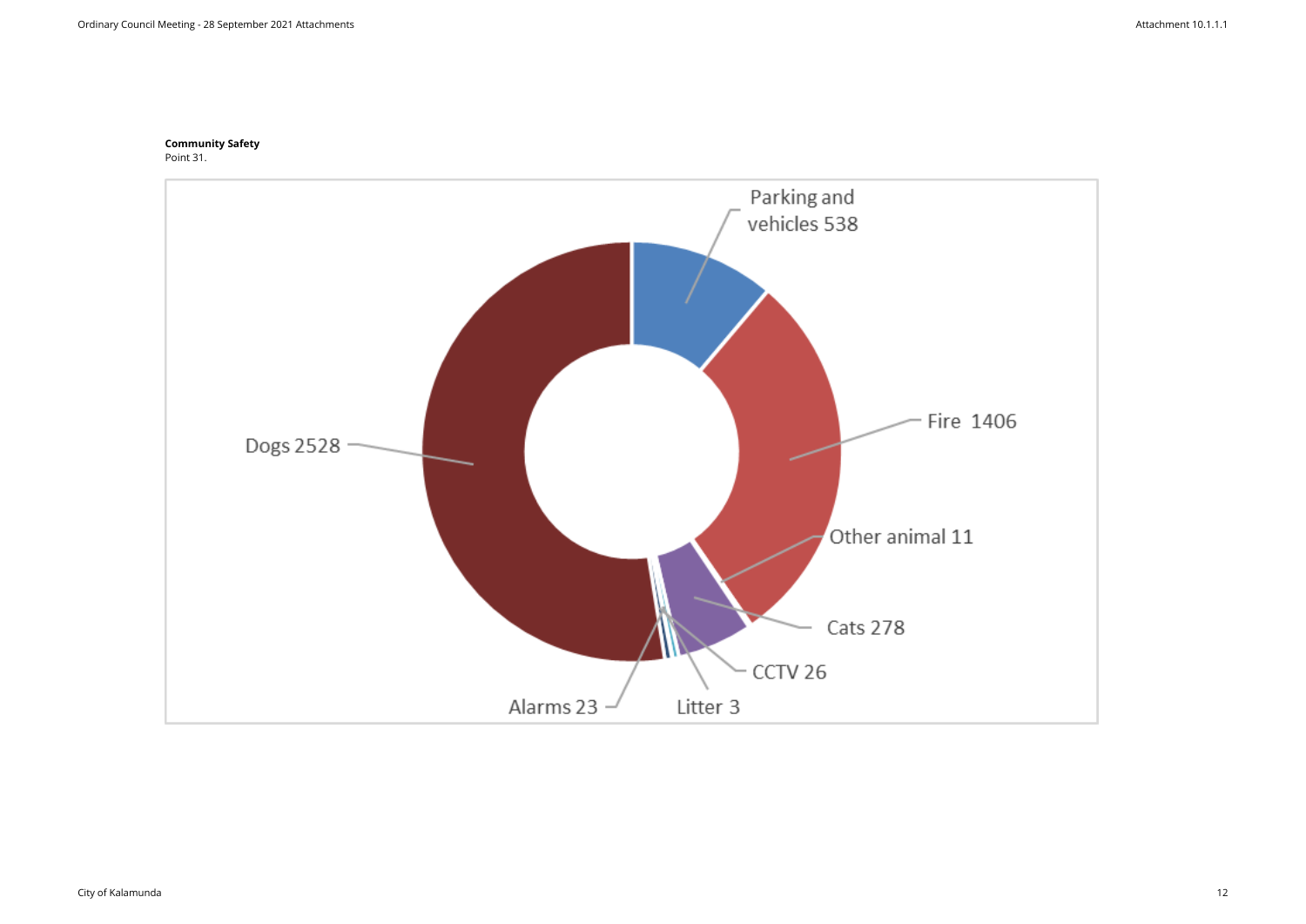# **Community Safety**  Point 31.